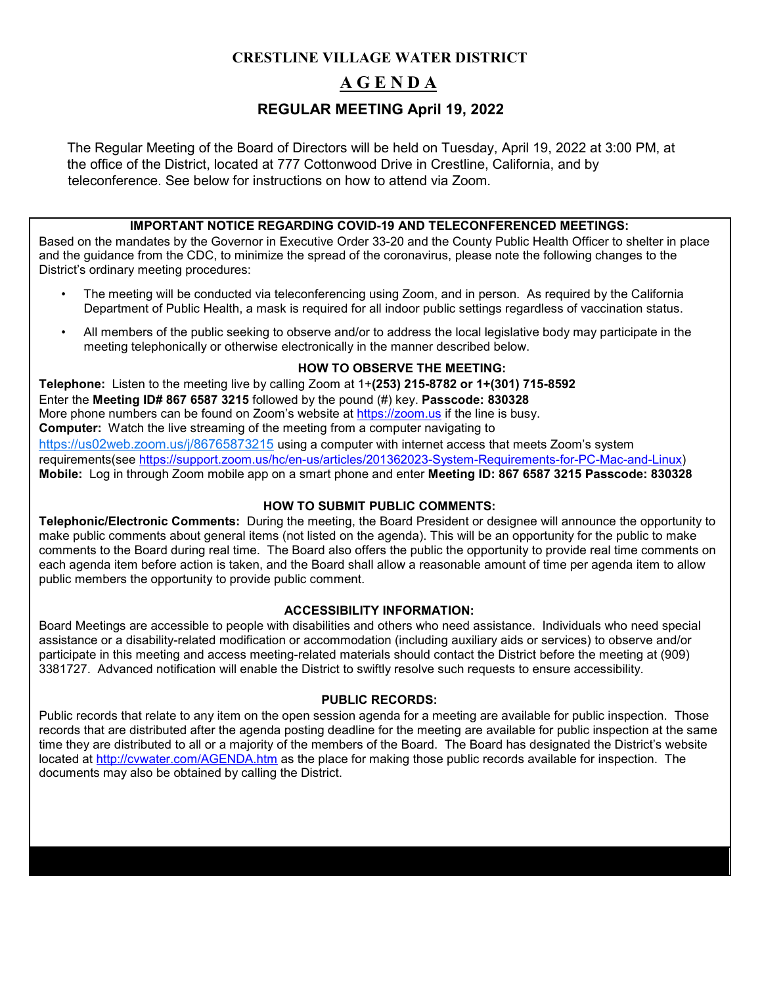# **CRESTLINE VILLAGE WATER DISTRICT A G E N D A REGULAR MEETING April 19, 2022**

The Regular Meeting of the Board of Directors will be held on Tuesday, April 19, 2022 at 3:00 PM, at the office of the District, located at 777 Cottonwood Drive in Crestline, California, and by teleconference. See below for instructions on how to attend via Zoom.

#### **IMPORTANT NOTICE REGARDING COVID-19 AND TELECONFERENCED MEETINGS:**

Based on the mandates by the Governor in Executive Order 33-20 and the County Public Health Officer to shelter in place and the guidance from the CDC, to minimize the spread of the coronavirus, please note the following changes to the District's ordinary meeting procedures:

- The meeting will be conducted via teleconferencing using Zoom, and in person. As required by the California Department of Public Health, a mask is required for all indoor public settings regardless of vaccination status.
- All members of the public seeking to observe and/or to address the local legislative body may participate in the meeting telephonically or otherwise electronically in the manner described below.

#### **HOW TO OBSERVE THE MEETING:**

**Telephone:** Listen to the meeting live by calling Zoom at 1+**(253) 215-8782 or 1+(301) 715-8592**  Enter the **Meeting ID# 867 6587 3215** followed by the pound (#) key. **Passcode: 830328** More phone numbers can be found on Zoom's website at [https://zoom.us](https://zoom.us/) [if](https://zoom.us/) the line is busy. **Computer:** Watch the live streaming of the meeting from a computer navigating to [https://us02web.zoom.us/j/86765873215](https://us02web.zoom.us/j/86765873215?pwd=dE9Mc0ZkTnBmMHNpajhNS21qRnhtQT09) using a computer with internet access that meets Zoom's system requirements(see [https://support.zoom.us/hc/en-us/articles/201362023-System-Requirements-for-PC-Mac-and-Linux\)](https://support.zoom.us/hc/en-us/articles/201362023-System-Requirements-for-PC-Mac-and-Linux) **Mobile:** Log in through Zoom mobile app on a smart phone and enter **Meeting ID: 867 6587 3215 Passcode: 830328**

#### **HOW TO SUBMIT PUBLIC COMMENTS:**

**Telephonic/Electronic Comments:** During the meeting, the Board President or designee will announce the opportunity to make public comments about general items (not listed on the agenda). This will be an opportunity for the public to make comments to the Board during real time. The Board also offers the public the opportunity to provide real time comments on each agenda item before action is taken, and the Board shall allow a reasonable amount of time per agenda item to allow public members the opportunity to provide public comment.

#### **ACCESSIBILITY INFORMATION:**

Board Meetings are accessible to people with disabilities and others who need assistance. Individuals who need special assistance or a disability-related modification or accommodation (including auxiliary aids or services) to observe and/or participate in this meeting and access meeting-related materials should contact the District before the meeting at (909) 3381727. Advanced notification will enable the District to swiftly resolve such requests to ensure accessibility.

#### **PUBLIC RECORDS:**

Public records that relate to any item on the open session agenda for a meeting are available for public inspection. Those records that are distributed after the agenda posting deadline for the meeting are available for public inspection at the same time they are distributed to all or a majority of the members of the Board. The Board has designated the District's website located at<http://cvwater.com/AGENDA.htm> [a](http://cvwater.com/AGENDA.htm)s the place for making those public records available for inspection. The documents may also be obtained by calling the District.